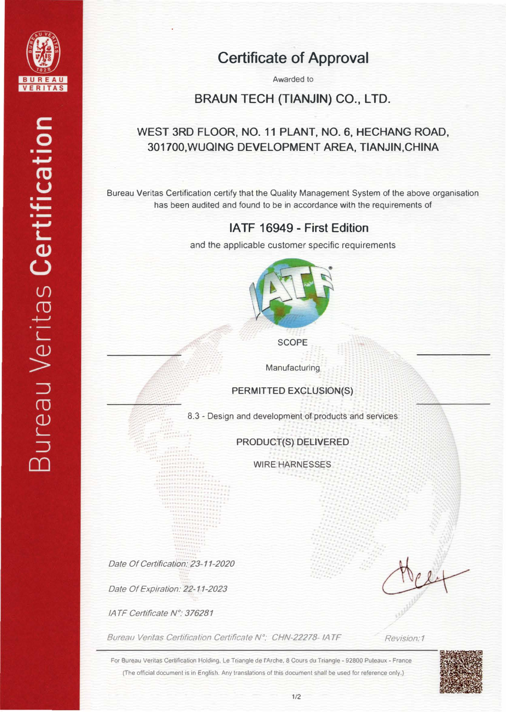

## Certificate of Approval

Awarded to

BRAUN TECH {TIANJIN) CO., LTD.

### WEST 3RD FLOOR, NO. 11 PLANT, NO. 6, HECHANG ROAD, 301700, WUQING DEVELOPMENT AREA, TIANJIN, CHINA

Bureau Veritas Certification certify that the Quality Management System of the above organisation has been audited and found to be in accordance with the requirements of

### IA TF 16949 - First Edition

and the applicable customer specific requirements



**SCOPE** 

**Manufacturing** 

PERMITTED EXCLUSION(S)

8.3 - Design and development of products and services

#### PRODUCT(S) DELIVERED

WIRE HARNESSES

Date Of Certification: 23-11-2020

Date Of Expiration: 22-11-2023

IA TF Certificate N°: 376281

Bureau Veritas Certification Certificate N°: CHN-22278-1ATF Revision:1

For Bureau Veritas Certification Holding, Le Triangle de l'Arche, 8 Cours du Triangle - 92800 Puteaux - France (The official document is in English. Any translations of this document shall be used for reference only.)